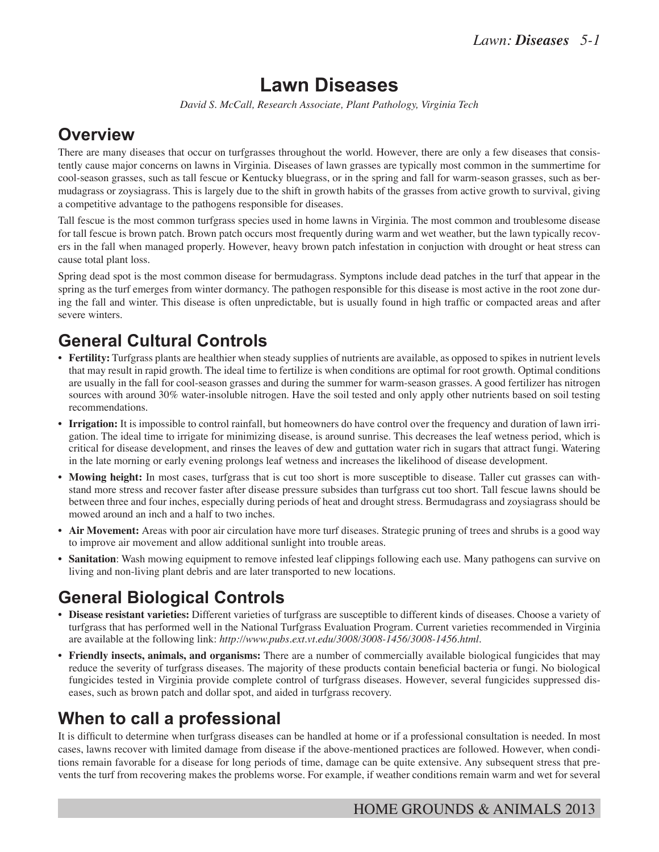### **Lawn Diseases**

*David S. McCall, Research Associate, Plant Pathology, Virginia Tech*

#### **Overview**

There are many diseases that occur on turfgrasses throughout the world. However, there are only a few diseases that consistently cause major concerns on lawns in Virginia. Diseases of lawn grasses are typically most common in the summertime for cool-season grasses, such as tall fescue or Kentucky bluegrass, or in the spring and fall for warm-season grasses, such as bermudagrass or zoysiagrass. This is largely due to the shift in growth habits of the grasses from active growth to survival, giving a competitive advantage to the pathogens responsible for diseases.

Tall fescue is the most common turfgrass species used in home lawns in Virginia. The most common and troublesome disease for tall fescue is brown patch. Brown patch occurs most frequently during warm and wet weather, but the lawn typically recovers in the fall when managed properly. However, heavy brown patch infestation in conjuction with drought or heat stress can cause total plant loss.

Spring dead spot is the most common disease for bermudagrass. Symptons include dead patches in the turf that appear in the spring as the turf emerges from winter dormancy. The pathogen responsible for this disease is most active in the root zone during the fall and winter. This disease is often unpredictable, but is usually found in high traffic or compacted areas and after severe winters.

# **General Cultural Controls**

- **Fertility:** Turfgrass plants are healthier when steady supplies of nutrients are available, as opposed to spikes in nutrient levels that may result in rapid growth. The ideal time to fertilize is when conditions are optimal for root growth. Optimal conditions are usually in the fall for cool-season grasses and during the summer for warm-season grasses. A good fertilizer has nitrogen sources with around 30% water-insoluble nitrogen. Have the soil tested and only apply other nutrients based on soil testing recommendations.
- **Irrigation:** It is impossible to control rainfall, but homeowners do have control over the frequency and duration of lawn irrigation. The ideal time to irrigate for minimizing disease, is around sunrise. This decreases the leaf wetness period, which is critical for disease development, and rinses the leaves of dew and guttation water rich in sugars that attract fungi. Watering in the late morning or early evening prolongs leaf wetness and increases the likelihood of disease development.
- **Mowing height:** In most cases, turfgrass that is cut too short is more susceptible to disease. Taller cut grasses can withstand more stress and recover faster after disease pressure subsides than turfgrass cut too short. Tall fescue lawns should be between three and four inches, especially during periods of heat and drought stress. Bermudagrass and zoysiagrass should be mowed around an inch and a half to two inches.
- **Air Movement:** Areas with poor air circulation have more turf diseases. Strategic pruning of trees and shrubs is a good way to improve air movement and allow additional sunlight into trouble areas.
- **Sanitation**: Wash mowing equipment to remove infested leaf clippings following each use. Many pathogens can survive on living and non-living plant debris and are later transported to new locations.

# **General Biological Controls**

- **Disease resistant varieties:** Different varieties of turfgrass are susceptible to different kinds of diseases. Choose a variety of turfgrass that has performed well in the National Turfgrass Evaluation Program. Current varieties recommended in Virginia are available at the following link: *http://www.pubs.ext.vt.edu/3008/3008-1456/3008-1456.html.*
- **Friendly insects, animals, and organisms:** There are a number of commercially available biological fungicides that may reduce the severity of turfgrass diseases. The majority of these products contain beneficial bacteria or fungi. No biological fungicides tested in Virginia provide complete control of turfgrass diseases. However, several fungicides suppressed diseases, such as brown patch and dollar spot, and aided in turfgrass recovery.

# **When to call a professional**

It is difficult to determine when turfgrass diseases can be handled at home or if a professional consultation is needed. In most cases, lawns recover with limited damage from disease if the above-mentioned practices are followed. However, when conditions remain favorable for a disease for long periods of time, damage can be quite extensive. Any subsequent stress that prevents the turf from recovering makes the problems worse. For example, if weather conditions remain warm and wet for several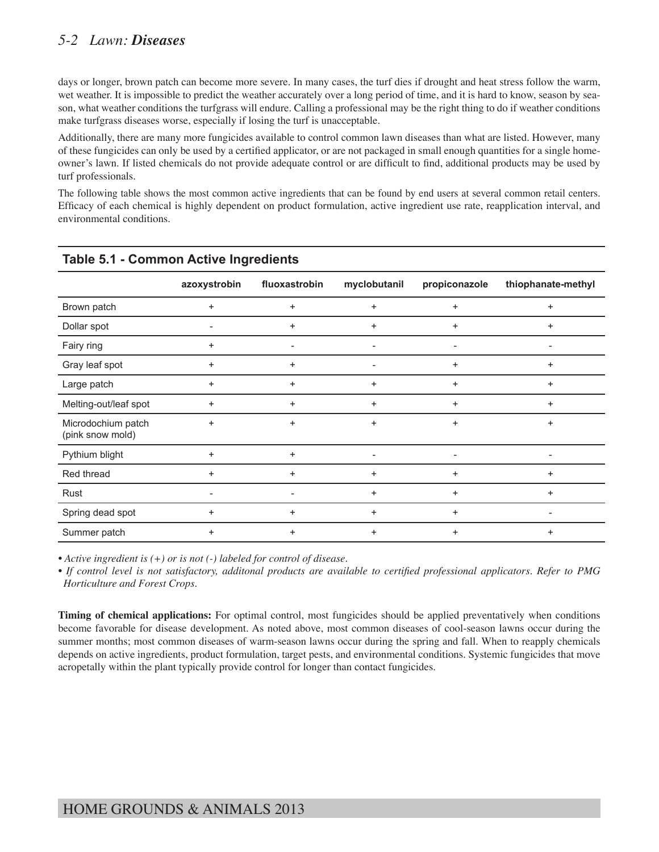#### *5-2 Lawn: Diseases*

days or longer, brown patch can become more severe. In many cases, the turf dies if drought and heat stress follow the warm, wet weather. It is impossible to predict the weather accurately over a long period of time, and it is hard to know, season by season, what weather conditions the turfgrass will endure. Calling a professional may be the right thing to do if weather conditions make turfgrass diseases worse, especially if losing the turf is unacceptable.

Additionally, there are many more fungicides available to control common lawn diseases than what are listed. However, many of these fungicides can only be used by a certified applicator, or are not packaged in small enough quantities for a single homeowner's lawn. If listed chemicals do not provide adequate control or are difficult to find, additional products may be used by turf professionals.

The following table shows the most common active ingredients that can be found by end users at several common retail centers. Efficacy of each chemical is highly dependent on product formulation, active ingredient use rate, reapplication interval, and environmental conditions.

|                                        | azoxystrobin             | fluoxastrobin | myclobutanil   | propiconazole | thiophanate-methyl |
|----------------------------------------|--------------------------|---------------|----------------|---------------|--------------------|
| Brown patch                            | $\ddot{}$                | $\ddot{}$     | $\ddot{}$      | $\ddot{}$     | $\ddot{}$          |
| Dollar spot                            | $\overline{\phantom{a}}$ | $\ddot{}$     | $\ddot{}$      | $\ddot{}$     | $\ddot{}$          |
| Fairy ring                             | $\ddot{}$                |               |                |               |                    |
| Gray leaf spot                         | $\ddot{}$                | $\ddot{}$     |                | $\ddot{}$     | $\ddot{}$          |
| Large patch                            | $\ddot{}$                | $\ddot{}$     | $\ddot{}$      | $\ddot{}$     | $\ddot{}$          |
| Melting-out/leaf spot                  | $\ddot{}$                | $\ddot{}$     | $\ddot{}$      | $\ddot{}$     | $\ddot{}$          |
| Microdochium patch<br>(pink snow mold) | $\ddot{}$                | $\ddot{}$     | $\ddot{}$      | $\ddot{}$     | $\ddot{}$          |
| Pythium blight                         | $\ddot{}$                | $\ddot{}$     | $\overline{a}$ |               |                    |
| Red thread                             | $\ddot{}$                | $\ddot{}$     | $\ddot{}$      | $\ddot{}$     | $\ddot{}$          |
| Rust                                   | $\overline{\phantom{a}}$ |               | $\ddot{}$      | $\ddot{}$     | $\ddot{}$          |
| Spring dead spot                       | $\ddot{}$                | $\ddot{}$     | $\ddot{}$      | $\ddot{}$     |                    |
| Summer patch                           | +                        | $\ddot{}$     | $\ddot{}$      | +             | +                  |

#### **Table 5.1 - Common Active Ingredients**

*• Active ingredient is (+) or is not (-) labeled for control of disease.*

*• If control level is not satisfactory, additonal products are available to certified professional applicators. Refer to PMG Horticulture and Forest Crops.*

**Timing of chemical applications:** For optimal control, most fungicides should be applied preventatively when conditions become favorable for disease development. As noted above, most common diseases of cool-season lawns occur during the summer months; most common diseases of warm-season lawns occur during the spring and fall. When to reapply chemicals depends on active ingredients, product formulation, target pests, and environmental conditions. Systemic fungicides that move acropetally within the plant typically provide control for longer than contact fungicides.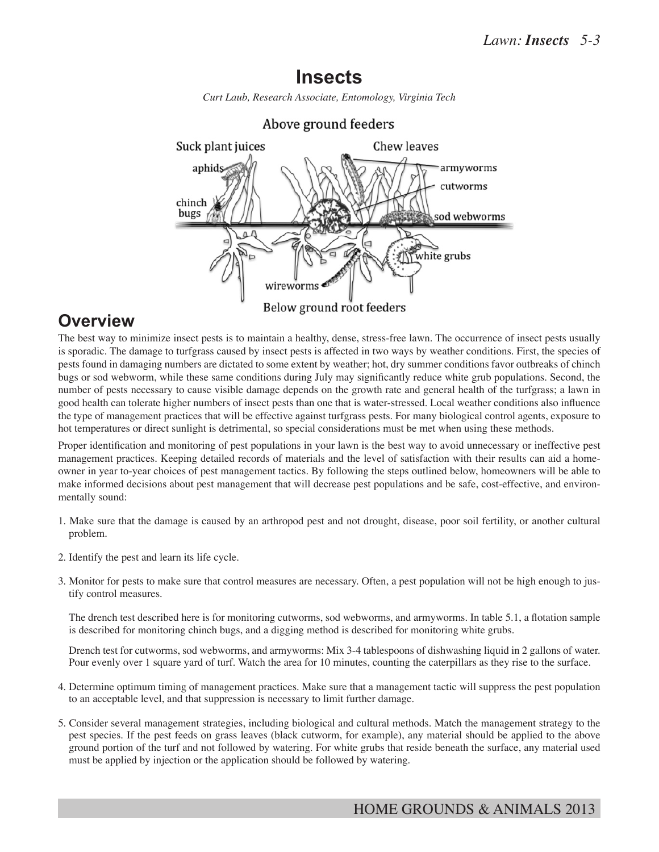#### **Insects**

*Curt Laub, Research Associate, Entomology, Virginia Tech*



#### Above ground feeders

#### **Overview**

The best way to minimize insect pests is to maintain a healthy, dense, stress-free lawn. The occurrence of insect pests usually is sporadic. The damage to turfgrass caused by insect pests is affected in two ways by weather conditions. First, the species of pests found in damaging numbers are dictated to some extent by weather; hot, dry summer conditions favor outbreaks of chinch bugs or sod webworm, while these same conditions during July may significantly reduce white grub populations. Second, the number of pests necessary to cause visible damage depends on the growth rate and general health of the turfgrass; a lawn in good health can tolerate higher numbers of insect pests than one that is water-stressed. Local weather conditions also influence the type of management practices that will be effective against turfgrass pests. For many biological control agents, exposure to hot temperatures or direct sunlight is detrimental, so special considerations must be met when using these methods.

Proper identification and monitoring of pest populations in your lawn is the best way to avoid unnecessary or ineffective pest management practices. Keeping detailed records of materials and the level of satisfaction with their results can aid a homeowner in year to-year choices of pest management tactics. By following the steps outlined below, homeowners will be able to make informed decisions about pest management that will decrease pest populations and be safe, cost-effective, and environmentally sound:

- 1. Make sure that the damage is caused by an arthropod pest and not drought, disease, poor soil fertility, or another cultural problem.
- 2. Identify the pest and learn its life cycle.
- 3. Monitor for pests to make sure that control measures are necessary. Often, a pest population will not be high enough to justify control measures.

The drench test described here is for monitoring cutworms, sod webworms, and armyworms. In table 5.1, a flotation sample is described for monitoring chinch bugs, and a digging method is described for monitoring white grubs.

Drench test for cutworms, sod webworms, and armyworms: Mix 3-4 tablespoons of dishwashing liquid in 2 gallons of water. Pour evenly over 1 square yard of turf. Watch the area for 10 minutes, counting the caterpillars as they rise to the surface.

- 4. Determine optimum timing of management practices. Make sure that a management tactic will suppress the pest population to an acceptable level, and that suppression is necessary to limit further damage.
- 5. Consider several management strategies, including biological and cultural methods. Match the management strategy to the pest species. If the pest feeds on grass leaves (black cutworm, for example), any material should be applied to the above ground portion of the turf and not followed by watering. For white grubs that reside beneath the surface, any material used must be applied by injection or the application should be followed by watering.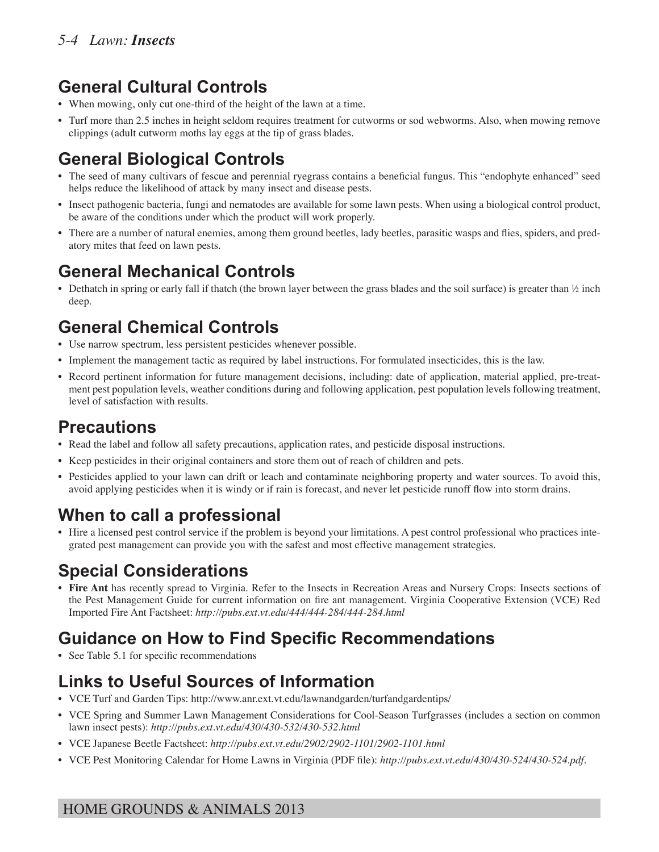# **General Cultural Controls**

- When mowing, only cut one-third of the height of the lawn at a time.
- Turf more than 2.5 inches in height seldom requires treatment for cutworms or sod webworms. Also, when mowing remove clippings (adult cutworm moths lay eggs at the tip of grass blades.

# **General Biological Controls**

- The seed of many cultivars of fescue and perennial ryegrass contains a beneficial fungus. This "endophyte enhanced" seed helps reduce the likelihood of attack by many insect and disease pests.
- Insect pathogenic bacteria, fungi and nematodes are available for some lawn pests. When using a biological control product, be aware of the conditions under which the product will work properly.
- There are a number of natural enemies, among them ground beetles, lady beetles, parasitic wasps and flies, spiders, and predatory mites that feed on lawn pests.

# **General Mechanical Controls**

• Dethatch in spring or early fall if thatch (the brown layer between the grass blades and the soil surface) is greater than  $\frac{1}{2}$  inch deep.

### **General Chemical Controls**

- Use narrow spectrum, less persistent pesticides whenever possible.
- Implement the management tactic as required by label instructions. For formulated insecticides, this is the law.
- Record pertinent information for future management decisions, including: date of application, material applied, pre-treatment pest population levels, weather conditions during and following application, pest population levels following treatment, level of satisfaction with results.

#### **Precautions**

- Read the label and follow all safety precautions, application rates, and pesticide disposal instructions.
- Keep pesticides in their original containers and store them out of reach of children and pets.
- Pesticides applied to your lawn can drift or leach and contaminate neighboring property and water sources. To avoid this, avoid applying pesticides when it is windy or if rain is forecast, and never let pesticide runoff flow into storm drains.

# **When to call a professional**

• Hire a licensed pest control service if the problem is beyond your limitations. A pest control professional who practices integrated pest management can provide you with the safest and most effective management strategies.

# **Special Considerations**

• **Fire Ant** has recently spread to Virginia. Refer to the Insects in Recreation Areas and Nursery Crops: Insects sections of the Pest Management Guide for current information on fire ant management. Virginia Cooperative Extension (VCE) Red Imported Fire Ant Factsheet: *http://pubs.ext.vt.edu/444/444-284/444-284.html*

# **Guidance on How to Find Specific Recommendations**

• See Table 5.1 for specific recommendations

# **Links to Useful Sources of Information**

- VCE Turf and Garden Tips: http://www.anr.ext.vt.edu/lawnandgarden/turfandgardentips/
- VCE Spring and Summer Lawn Management Considerations for Cool-Season Turfgrasses (includes a section on common lawn insect pests): *http://pubs.ext.vt.edu/430/430-532/430-532.html*
- VCE Japanese Beetle Factsheet: *http://pubs.ext.vt.edu/2902/2902-1101/2902-1101.html*
- VCE Pest Monitoring Calendar for Home Lawns in Virginia (PDF file): *http://pubs.ext.vt.edu/430/430-524/430-524.pdf.*

#### HOME GROUNDS & ANIMALS 2013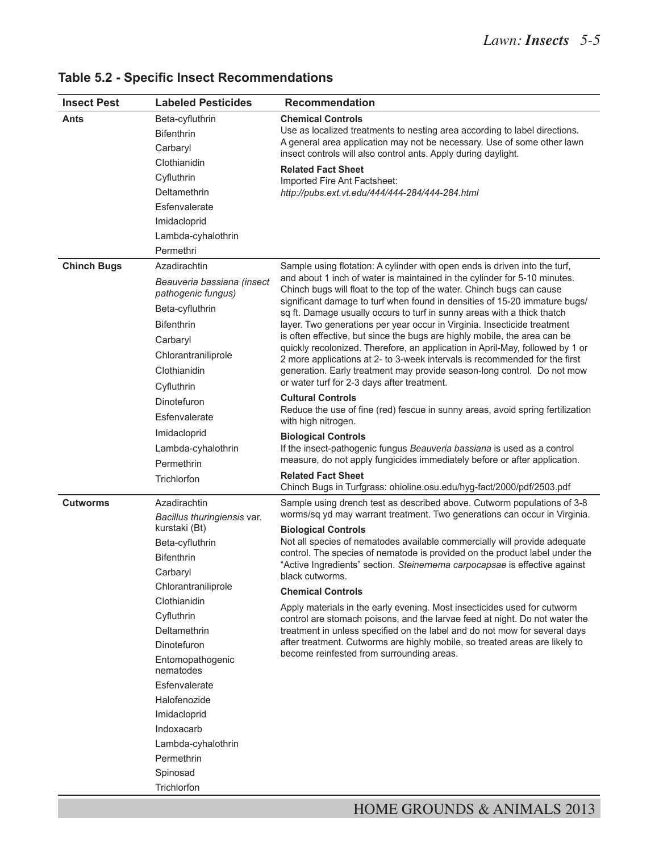| <b>Insect Pest</b>            | <b>Labeled Pesticides</b>                        | <b>Recommendation</b>                                                                                                                                                                                                          |
|-------------------------------|--------------------------------------------------|--------------------------------------------------------------------------------------------------------------------------------------------------------------------------------------------------------------------------------|
| Ants                          | Beta-cyfluthrin                                  | <b>Chemical Controls</b>                                                                                                                                                                                                       |
|                               | <b>Bifenthrin</b>                                | Use as localized treatments to nesting area according to label directions.                                                                                                                                                     |
|                               | Carbaryl                                         | A general area application may not be necessary. Use of some other lawn<br>insect controls will also control ants. Apply during daylight.                                                                                      |
|                               | Clothianidin                                     | <b>Related Fact Sheet</b>                                                                                                                                                                                                      |
|                               | Cyfluthrin                                       | Imported Fire Ant Factsheet:                                                                                                                                                                                                   |
|                               | Deltamethrin                                     | http://pubs.ext.vt.edu/444/444-284/444-284.html                                                                                                                                                                                |
|                               | Esfenvalerate                                    |                                                                                                                                                                                                                                |
|                               | Imidacloprid                                     |                                                                                                                                                                                                                                |
|                               | Lambda-cyhalothrin                               |                                                                                                                                                                                                                                |
|                               | Permethri                                        |                                                                                                                                                                                                                                |
| <b>Chinch Bugs</b>            | Azadirachtin                                     | Sample using flotation: A cylinder with open ends is driven into the turf,<br>and about 1 inch of water is maintained in the cylinder for 5-10 minutes.                                                                        |
|                               | Beauveria bassiana (insect<br>pathogenic fungus) | Chinch bugs will float to the top of the water. Chinch bugs can cause<br>significant damage to turf when found in densities of 15-20 immature bugs/<br>sq ft. Damage usually occurs to turf in sunny areas with a thick thatch |
|                               | Beta-cyfluthrin                                  |                                                                                                                                                                                                                                |
|                               | <b>Bifenthrin</b>                                | layer. Two generations per year occur in Virginia. Insecticide treatment                                                                                                                                                       |
|                               | Carbaryl                                         | is often effective, but since the bugs are highly mobile, the area can be<br>quickly recolonized. Therefore, an application in April-May, followed by 1 or                                                                     |
|                               | Chlorantraniliprole                              | 2 more applications at 2- to 3-week intervals is recommended for the first                                                                                                                                                     |
|                               | Clothianidin                                     | generation. Early treatment may provide season-long control. Do not mow                                                                                                                                                        |
|                               | Cyfluthrin                                       | or water turf for 2-3 days after treatment.                                                                                                                                                                                    |
|                               | Dinotefuron                                      | <b>Cultural Controls</b><br>Reduce the use of fine (red) fescue in sunny areas, avoid spring fertilization                                                                                                                     |
|                               | Esfenvalerate                                    | with high nitrogen.                                                                                                                                                                                                            |
|                               | Imidacloprid                                     | <b>Biological Controls</b>                                                                                                                                                                                                     |
|                               | Lambda-cyhalothrin                               | If the insect-pathogenic fungus Beauveria bassiana is used as a control                                                                                                                                                        |
|                               | Permethrin                                       | measure, do not apply fungicides immediately before or after application.                                                                                                                                                      |
|                               | Trichlorfon                                      | <b>Related Fact Sheet</b><br>Chinch Bugs in Turfgrass: ohioline.osu.edu/hyg-fact/2000/pdf/2503.pdf                                                                                                                             |
| <b>Cutworms</b>               | Azadirachtin                                     | Sample using drench test as described above. Cutworm populations of 3-8                                                                                                                                                        |
|                               | Bacillus thuringiensis var.<br>kurstaki (Bt)     | worms/sq yd may warrant treatment. Two generations can occur in Virginia.<br><b>Biological Controls</b>                                                                                                                        |
|                               | Beta-cyfluthrin                                  | Not all species of nematodes available commercially will provide adequate                                                                                                                                                      |
|                               | <b>Bifenthrin</b>                                | control. The species of nematode is provided on the product label under the                                                                                                                                                    |
|                               | Carbarvl                                         | "Active Ingredients" section. Steinernema carpocapsae is effective against<br>black cutworms.                                                                                                                                  |
|                               | Chlorantraniliprole                              | <b>Chemical Controls</b>                                                                                                                                                                                                       |
|                               | Clothianidin                                     | Apply materials in the early evening. Most insecticides used for cutworm                                                                                                                                                       |
| Cyfluthrin                    |                                                  | control are stomach poisons, and the larvae feed at night. Do not water the                                                                                                                                                    |
|                               | Deltamethrin                                     | treatment in unless specified on the label and do not mow for several days<br>after treatment. Cutworms are highly mobile, so treated areas are likely to                                                                      |
|                               | Dinotefuron                                      | become reinfested from surrounding areas.                                                                                                                                                                                      |
| Entomopathogenic<br>nematodes |                                                  |                                                                                                                                                                                                                                |
|                               | Esfenvalerate                                    |                                                                                                                                                                                                                                |
|                               | Halofenozide                                     |                                                                                                                                                                                                                                |
|                               | Imidacloprid                                     |                                                                                                                                                                                                                                |
|                               | Indoxacarb                                       |                                                                                                                                                                                                                                |
|                               | Lambda-cyhalothrin                               |                                                                                                                                                                                                                                |
|                               | Permethrin                                       |                                                                                                                                                                                                                                |
|                               | Spinosad                                         |                                                                                                                                                                                                                                |
|                               | Trichlorfon                                      |                                                                                                                                                                                                                                |

#### **Table 5.2 - Specific Insect Recommendations**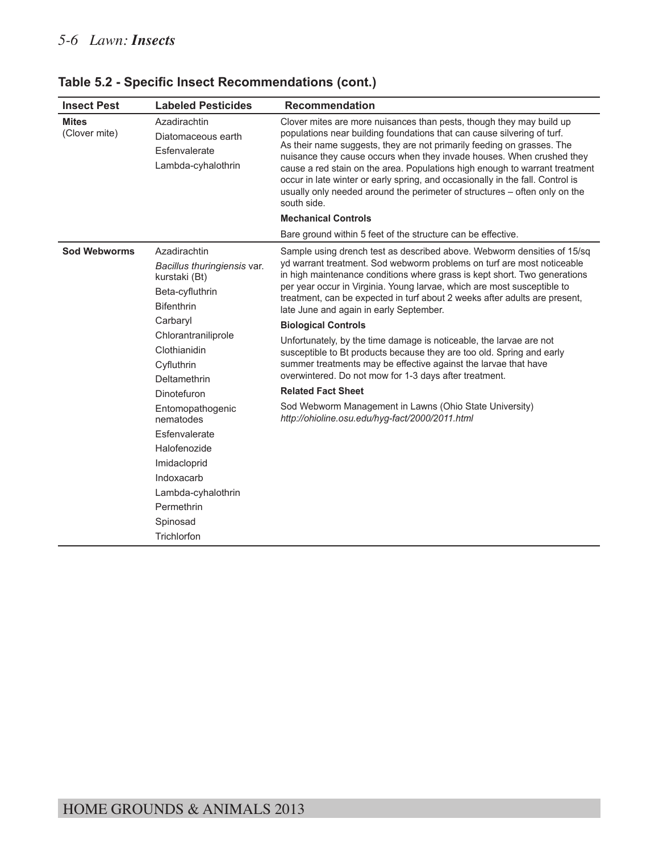| <b>Insect Pest</b>            | <b>Labeled Pesticides</b>                                                                                                                                                                                                                                                                                                                                           | <b>Recommendation</b>                                                                                                                                                                                                                                                                                                                                                                                                                                                                                                                                                                                                                                                                                                                                                                                                                                                                    |
|-------------------------------|---------------------------------------------------------------------------------------------------------------------------------------------------------------------------------------------------------------------------------------------------------------------------------------------------------------------------------------------------------------------|------------------------------------------------------------------------------------------------------------------------------------------------------------------------------------------------------------------------------------------------------------------------------------------------------------------------------------------------------------------------------------------------------------------------------------------------------------------------------------------------------------------------------------------------------------------------------------------------------------------------------------------------------------------------------------------------------------------------------------------------------------------------------------------------------------------------------------------------------------------------------------------|
| <b>Mites</b><br>(Clover mite) | Azadirachtin<br>Diatomaceous earth<br>Esfenvalerate<br>Lambda-cyhalothrin                                                                                                                                                                                                                                                                                           | Clover mites are more nuisances than pests, though they may build up<br>populations near building foundations that can cause silvering of turf.<br>As their name suggests, they are not primarily feeding on grasses. The<br>nuisance they cause occurs when they invade houses. When crushed they<br>cause a red stain on the area. Populations high enough to warrant treatment<br>occur in late winter or early spring, and occasionally in the fall. Control is<br>usually only needed around the perimeter of structures - often only on the<br>south side.                                                                                                                                                                                                                                                                                                                         |
|                               |                                                                                                                                                                                                                                                                                                                                                                     | <b>Mechanical Controls</b>                                                                                                                                                                                                                                                                                                                                                                                                                                                                                                                                                                                                                                                                                                                                                                                                                                                               |
|                               |                                                                                                                                                                                                                                                                                                                                                                     | Bare ground within 5 feet of the structure can be effective.                                                                                                                                                                                                                                                                                                                                                                                                                                                                                                                                                                                                                                                                                                                                                                                                                             |
| <b>Sod Webworms</b>           | Azadirachtin<br>Bacillus thuringiensis var.<br>kurstaki (Bt)<br>Beta-cyfluthrin<br><b>Bifenthrin</b><br>Carbaryl<br>Chlorantraniliprole<br>Clothianidin<br>Cyfluthrin<br>Deltamethrin<br>Dinotefuron<br>Entomopathogenic<br>nematodes<br>Esfenvalerate<br>Halofenozide<br>Imidacloprid<br>Indoxacarb<br>Lambda-cyhalothrin<br>Permethrin<br>Spinosad<br>Trichlorfon | Sample using drench test as described above. Webworm densities of 15/sq<br>yd warrant treatment. Sod webworm problems on turf are most noticeable<br>in high maintenance conditions where grass is kept short. Two generations<br>per year occur in Virginia. Young larvae, which are most susceptible to<br>treatment, can be expected in turf about 2 weeks after adults are present,<br>late June and again in early September.<br><b>Biological Controls</b><br>Unfortunately, by the time damage is noticeable, the larvae are not<br>susceptible to Bt products because they are too old. Spring and early<br>summer treatments may be effective against the larvae that have<br>overwintered. Do not mow for 1-3 days after treatment.<br><b>Related Fact Sheet</b><br>Sod Webworm Management in Lawns (Ohio State University)<br>http://ohioline.osu.edu/hyg-fact/2000/2011.html |

#### **Table 5.2 - Specific Insect Recommendations (cont.)**